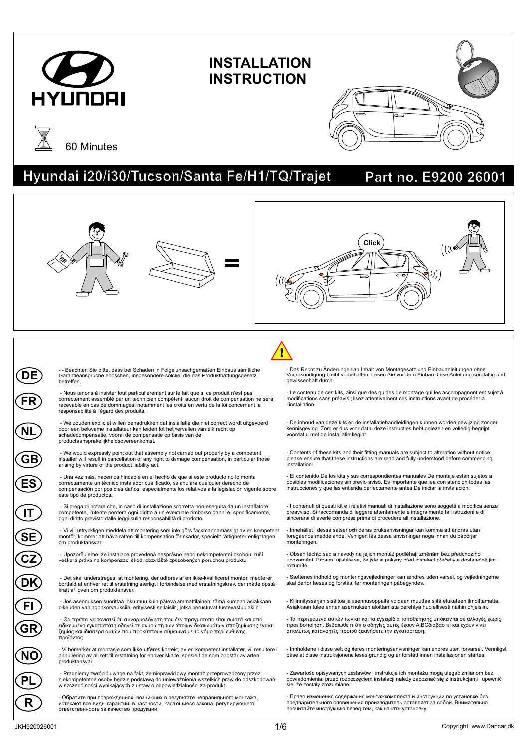

# **INSTALLATION INSTRUCTION**





## **Hyundai i20/i30/Tucson/Santa Fe/H1/TQ/Trajet Part no. E9200 26001**

#### - - Beachten Sie bitte, dass bei Schäden in Folge unsachgemäßen Einbaus sämtliche Garantieansprüche erlöschen, insbesondere solche, die das Produkthaftungsgesetz betreffen. - Nous tenons à insister tout particulièrement sur le fait que si ce produit n'est pas correctement assemblé par un technicien compétent, aucun droit de compensation ne sera recevable en cas de dommages, notamment les droits en vertu de la loi concernant la responsabilité à l'égard des produits. - We zouden expliciet willen benadrukken dat installatie die niet correct wordt uitgevoerd door een bekwame installateur kan leiden tot het vervallen van elk recht op schadecompensatie, vooral de compensatie op basis van de productaansprakelijkheidsovereenkomst. - We would expressly point out that assembly not carried out properly by a competent installer will result in cancellation of any right to damage compensation, in particular those arising by virture of the product liability act. - Una vez más, hacemos hincapié en el hecho de que si este producto no lo monta correctamente un técnico instalador cualificado, se anulará cualquier derecho de compensación por posibles daños, especialmente los relativos a la legislación vigente sobre este tipo de productos. - Si prega di notare che, in caso di installazione scorretta non eseguita da un installatore competente, l'utente perderà ogni diritto a un eventuale rimborso danni e, specificamente, ogni diritto previsto dalle leggi sulla responsabilità di prodotto. - Vi vill uttryckligen meddela att montering som inte görs fackmannamässigt av en kompetent montör, kommer att häva rätten till kompensation för skador, speciellt rättigheter enligt lagen om produktansvar. - Upozorňujeme, že instalace provedená nesprávně nebo nekompetentní osobou, ruší veškerá práva na kompenzaci škod, obzvláště způsobených poruchou produktu. - Det skal understreges, at montering, der udføres af en ikke-kvalificeret montør, medfører bortfald af enhver ret til erstatning særligt i forbindelse med erstatningskrav, der måtte opstå i kraft af loven om produktansvar. - Jos asennuksen suorittaa joku muu kuin pätevä ammattilainen, tämä kumoaa asiakkaan oikeuden vahingonkorvauksiin, erityisesti sellaisiin, jotka perustuvat tuotevastuulakiin. - Θα πρέπει να τονιστεί ότι συναρμολόγηση που δεν πραγματοποιείται σωστά και από ειδικευμένο εγκαταστάτη οδηγεί σε ακύρωση των όποιων δικαιωμάτων αποζημίωσης έναντι ζημίας και ιδιαίτερα αυτών που προκύπτουν σύμφωνα με το νόμο περί ευθύνης προϊόντος. - Vi bemerker at montasje som ikke utføres korrekt, av en kompetent installatør, vil resultere i annullering av all rett til erstatning for enhver skade, spesielt de som oppstår av arten produktansvar. - Pragniemy zwrócić uwagę na fakt, że nieprawidłowy montaż przeprowadzony przez niekompetentne osoby będzie podstawą do unieważnienia wszelkich praw do odszkodowań, w szczególności wynikających z ustaw o odpowiedzialności za produkt. Das Recht zu Änderungen an Inhalt von Montagesatz und Einbauanleitungen ohne Vorankündigung bleibt vorbehalten. Lesen Sie vor dem Einbau diese Anleitung sorgfältig und gewissenhaft durch. - Le contenu de ces kits, ainsi que des guides de montage qui les accompagnent est sujet à modifications sans préavis ; lisez attentivement ces instructions avant de procéder à l'installation. - De inhoud van deze kits en de installatiehandleidingen kunnen worden gewijzigd zonder kennisgeving. Zorg er dus voor dat u deze instructies hebt gelezen en volledig begrijpt voordat u met de installatie begint. - Contents of these kits and their fitting manuals are subject to alteration without notice, please ensure that these instructions are read and fully understood before commencing installation. - El contenido De los kits y sus correspondientes manuales De montaje están sujetos a posibles modificaciones sin previo aviso. Es importante que lea con atención todas las instrucciones y que las entienda perfectamente antes De iniciar la instalación. - I contenuti di questi kit e i relativi manuali di installazione sono soggetti a modifica senza preavviso. Si raccomanda di leggere attentamente e integralmente tali istruzioni e di sincerarsi di averle comprese prima di procedere all'installazione. - Innehållet i dessa satser och deras bruksanvisningar kan komma att ändras utan föregående meddelande. Vänligen läs dessa anvisningar noga innan du påbörjar monteringen. - Obsah těchto sad a návody na jejich montáž podléhají změnám bez předchozího upozornění. Prosím, ujistěte se, že jste si pokyny před instalací přečetly a dostatečně jim rozumíte. - Sættenes indhold og monteringsvejledninger kan ændres uden varsel, og vejledningerne skal derfor læses og forstås, før monteringen påbegyndes. - Kiiinnityssarjan sisältöä ja asennusoppaita voidaan muuttaa siitä etukäteen ilmoittamatta. Asiakkaan tulee ennen asennuksen aloittamista perehtyä huolellisesti näihin ohjeisiin. - Τα περιεχόμενα αυτών των κιτ και τα εγχειρίδια τοποθέτησης υπόκεινται σε αλλαγές χωρίς<br>προειδοποίηση. Βεβαιωθείτε ότι ο οδηγίες αυτές έχουν Α:ΒCδιαβαστεί και έχουν γίνει<br>απολύτως κατανοητές προτού ξεκινήσετε την εγκατάσ - Innholdene i disse sett og deres monteringsanvisninger kan endres uten forvarsel. Vennligst påse at disse instruksjonene leses grundig og er forstått innen installasjonen startes. - Zawartość opisywanych zestawów i instrukcje ich montażu mogą ulegać zmianom bez powiadomienia; przed rozpoczęciem instalacji należy zapoznać się z instrukcjami i upewnić się, że zostały zrozumiane. **DE FR NL GB ES IT SE DECZ DEK DEFI GRDE NC DEPL Click** !

- Обратите при повреждениях, возникших в результате неправильного монтажа, истекают все виды гарантии, в частности, касающиеся закона, регулирующего ответственность за качество продукции.

- Право изменения содержания монтажкомплекта и инструкции по установке без предварительного оповещения производитель оставляет за собой. Внимательно прочитайте инструкцию перед тем, как начать установку.

**DER**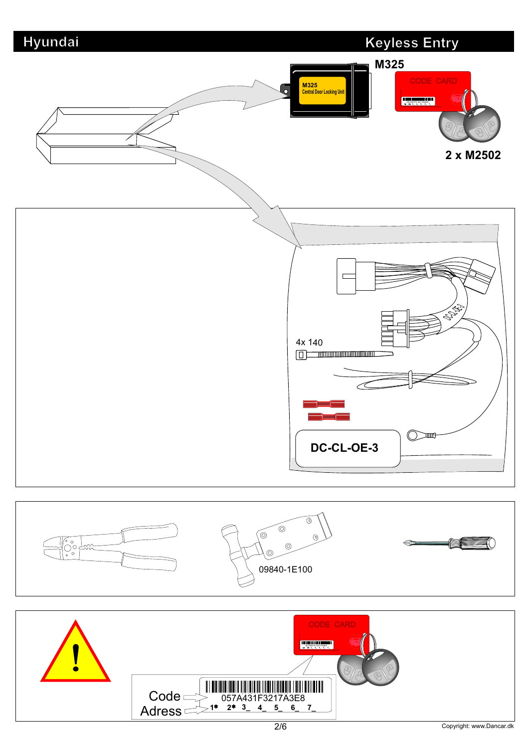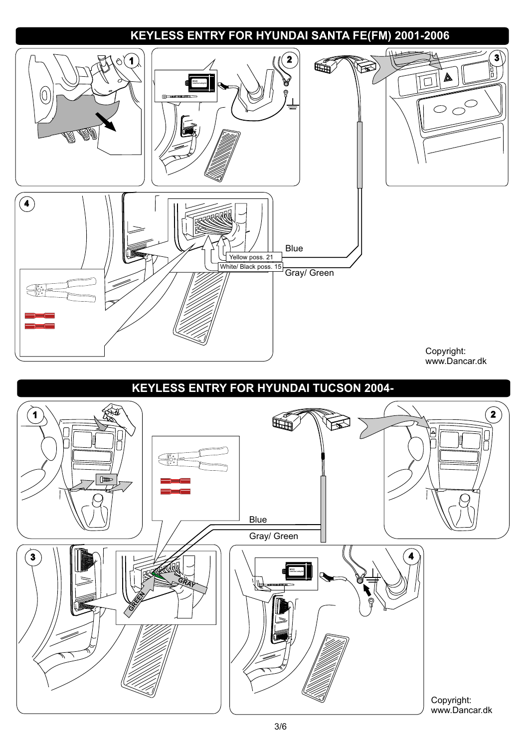## **KEYLESS ENTRY FOR HYUNDAI SANTA FE(FM) 2001-2006**

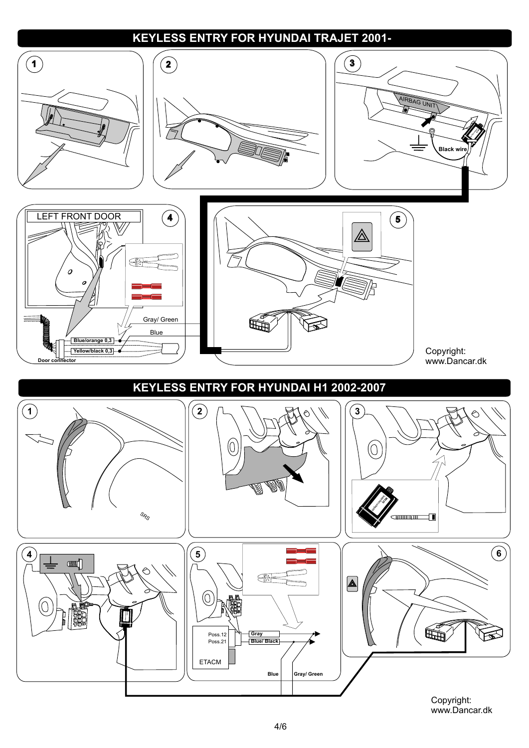#### **KEYLESS ENTRY FOR HYUNDAI TRAJET 2001-**

![](_page_3_Figure_1.jpeg)

Copyright: www.Dancar.dk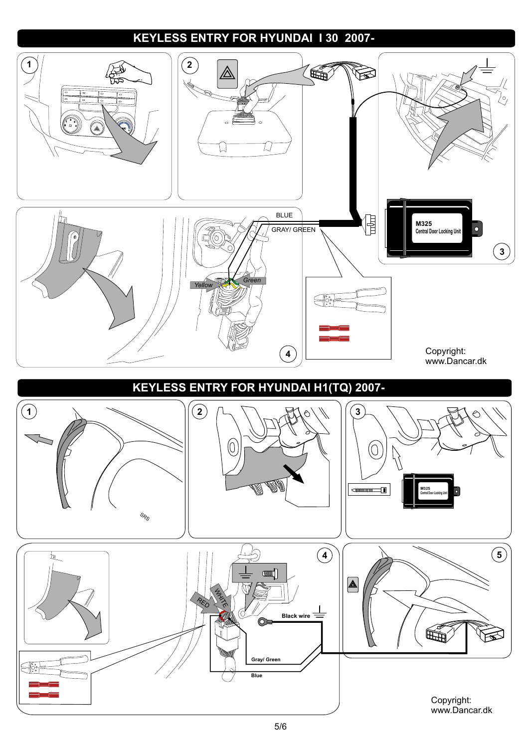## **KEYLESS ENTRY FOR HYUNDAI I 30 2007-**

![](_page_4_Figure_1.jpeg)

Copyright: www.Dancar.dk